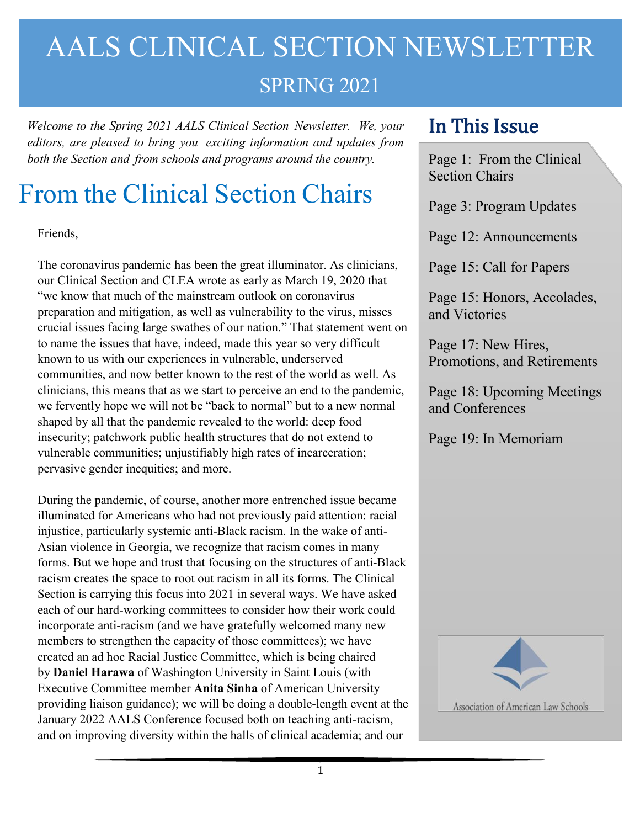## AALS CLINICAL SECTION NEWSLETTER

### SPRING 2021

*Welcome to the Spring 2021 AALS Clinical Section Newsletter. We, your editors, are pleased to bring you exciting information and updates from both the Section and from schools and programs around the country.*

### From the Clinical Section Chairs

Friends,

The coronavirus pandemic has been the great illuminator. As clinicians, our Clinical Section and CLEA wrote as early as March 19, 2020 that "we know that much of the mainstream outlook on coronavirus preparation and mitigation, as well as vulnerability to the virus, misses crucial issues facing large swathes of our nation." That statement went on to name the issues that have, indeed, made this year so very difficult known to us with our experiences in vulnerable, underserved communities, and now better known to the rest of the world as well. As clinicians, this means that as we start to perceive an end to the pandemic, we fervently hope we will not be "back to normal" but to a new normal shaped by all that the pandemic revealed to the world: deep food insecurity; patchwork public health structures that do not extend to vulnerable communities; unjustifiably high rates of incarceration; pervasive gender inequities; and more.

During the pandemic, of course, another more entrenched issue became illuminated for Americans who had not previously paid attention: racial injustice, particularly systemic anti-Black racism. In the wake of anti-Asian violence in Georgia, we recognize that racism comes in many forms. But we hope and trust that focusing on the structures of anti-Black racism creates the space to root out racism in all its forms. The Clinical Section is carrying this focus into 2021 in several ways. We have asked each of our hard-working committees to consider how their work could incorporate anti-racism (and we have gratefully welcomed many new members to strengthen the capacity of those committees); we have created an ad hoc Racial Justice Committee, which is being chaired by **Daniel Harawa** of Washington University in Saint Louis (with Executive Committee member **Anita Sinha** of American University providing liaison guidance); we will be doing a double-length event at the January 2022 AALS Conference focused both on teaching anti-racism, and on improving diversity within the halls of clinical academia; and our

### In This Issue

Page 1: From the Clinical Section Chairs

Page 3: Program Updates

Page 12: Announcements

Page 15: Call for Papers

Page 15: Honors, Accolades, and Victories

Page 17: New Hires, Promotions, and Retirements

Page 18: Upcoming Meetings and Conferences

Page 19: In Memoriam

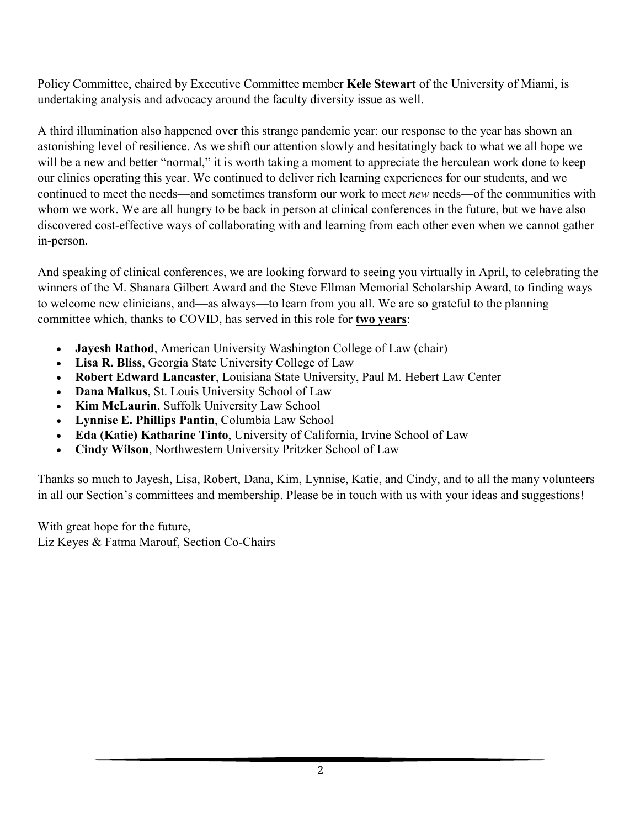Policy Committee, chaired by Executive Committee member **Kele Stewart** of the University of Miami, is undertaking analysis and advocacy around the faculty diversity issue as well.

A third illumination also happened over this strange pandemic year: our response to the year has shown an astonishing level of resilience. As we shift our attention slowly and hesitatingly back to what we all hope we will be a new and better "normal," it is worth taking a moment to appreciate the herculean work done to keep our clinics operating this year. We continued to deliver rich learning experiences for our students, and we continued to meet the needs—and sometimes transform our work to meet *new* needs—of the communities with whom we work. We are all hungry to be back in person at clinical conferences in the future, but we have also discovered cost-effective ways of collaborating with and learning from each other even when we cannot gather in-person.

And speaking of clinical conferences, we are looking forward to seeing you virtually in April, to celebrating the winners of the M. Shanara Gilbert Award and the Steve Ellman Memorial Scholarship Award, to finding ways to welcome new clinicians, and—as always—to learn from you all. We are so grateful to the planning committee which, thanks to COVID, has served in this role for **two years**:

- **Jayesh Rathod**, American University Washington College of Law (chair)
- **Lisa R. Bliss**, Georgia State University College of Law
- **Robert Edward Lancaster**, Louisiana State University, Paul M. Hebert Law Center
- **Dana Malkus**, St. Louis University School of Law
- **Kim McLaurin**, Suffolk University Law School
- **Lynnise E. Phillips Pantin**, Columbia Law School
- **Eda (Katie) Katharine Tinto**, University of California, Irvine School of Law
- **Cindy Wilson**, Northwestern University Pritzker School of Law

Thanks so much to Jayesh, Lisa, Robert, Dana, Kim, Lynnise, Katie, and Cindy, and to all the many volunteers in all our Section's committees and membership. Please be in touch with us with your ideas and suggestions!

With great hope for the future, Liz Keyes & Fatma Marouf, Section Co-Chairs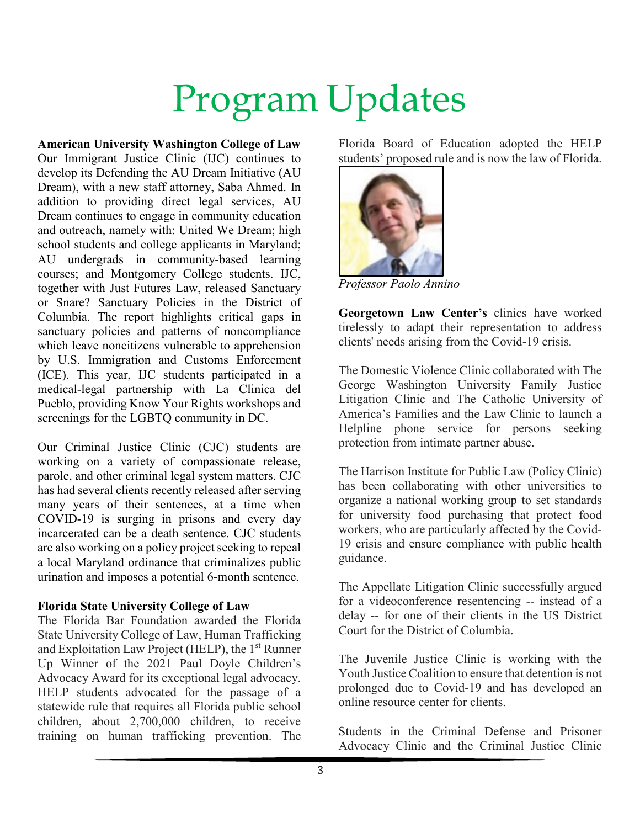# Program Updates

**American University Washington College of Law** Our Immigrant Justice Clinic (IJC) continues to develop its Defending the AU Dream Initiative (AU Dream), with a new staff attorney, Saba Ahmed. In addition to providing direct legal services, AU Dream continues to engage in community education and outreach, namely with: United We Dream; high school students and college applicants in Maryland; AU undergrads in community-based learning courses; and Montgomery College students. IJC, together with Just Futures Law, released Sanctuary or Snare? Sanctuary Policies in the District of Columbia. The report highlights critical gaps in sanctuary policies and patterns of noncompliance which leave noncitizens vulnerable to apprehension by U.S. Immigration and Customs Enforcement (ICE). This year, IJC students participated in a medical-legal partnership with La Clinica del Pueblo, providing Know Your Rights workshops and screenings for the LGBTQ community in DC.

Our Criminal Justice Clinic (CJC) students are working on a variety of compassionate release, parole, and other criminal legal system matters. CJC has had several clients recently released after serving many years of their sentences, at a time when COVID-19 is surging in prisons and every day incarcerated can be a death sentence. CJC students are also working on a policy project seeking to repeal a local Maryland ordinance that criminalizes public urination and imposes a potential 6-month sentence.

#### **Florida State University College of Law**

The Florida Bar Foundation awarded the Florida State University College of Law, Human Trafficking and Exploitation Law Project (HELP), the 1<sup>st</sup> Runner Up Winner of the 2021 Paul Doyle Children's Advocacy Award for its exceptional legal advocacy. HELP students advocated for the passage of a statewide rule that requires all Florida public school children, about 2,700,000 children, to receive training on human trafficking prevention. The Florida Board of Education adopted the HELP students' proposed rule and is now the law of Florida.



*Professor Paolo Annino*

**Georgetown Law Center's** clinics have worked tirelessly to adapt their representation to address clients' needs arising from the Covid-19 crisis.

The Domestic Violence Clinic collaborated with The George Washington University Family Justice Litigation Clinic and The Catholic University of America's Families and the Law Clinic to launch a Helpline phone service for persons seeking protection from intimate partner abuse.

The Harrison Institute for Public Law (Policy Clinic) has been collaborating with other universities to organize a national working group to set standards for university food purchasing that protect food workers, who are particularly affected by the Covid-19 crisis and ensure compliance with public health guidance.

The Appellate Litigation Clinic successfully argued for a videoconference resentencing -- instead of a delay -- for one of their clients in the US District Court for the District of Columbia.

The Juvenile Justice Clinic is working with the Youth Justice Coalition to ensure that detention is not prolonged due to Covid-19 and has developed an online resource center for clients.

Students in the Criminal Defense and Prisoner Advocacy Clinic and the Criminal Justice Clinic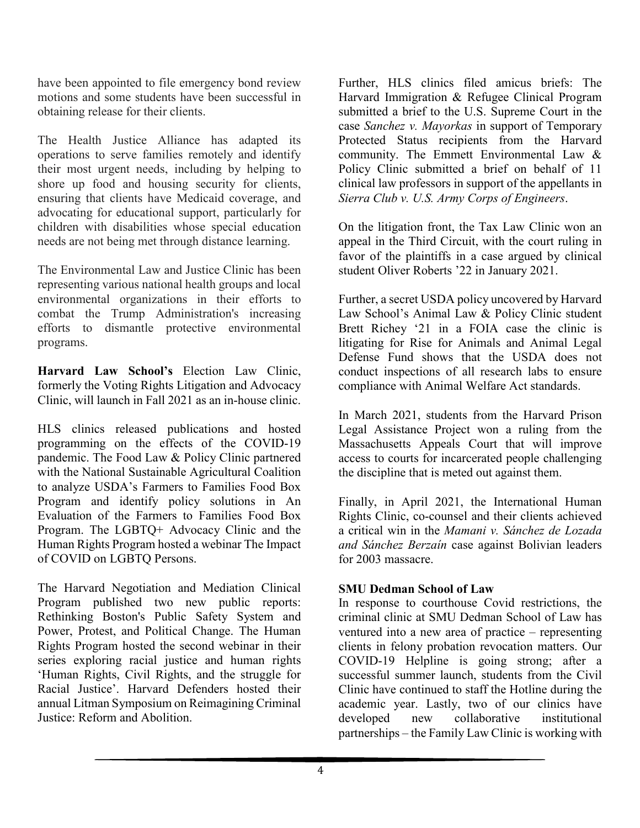have been appointed to file emergency bond review motions and some students have been successful in obtaining release for their clients.

The Health Justice Alliance has adapted its operations to serve families remotely and identify their most urgent needs, including by helping to shore up food and housing security for clients, ensuring that clients have Medicaid coverage, and advocating for educational support, particularly for children with disabilities whose special education needs are not being met through distance learning.

The Environmental Law and Justice Clinic has been representing various national health groups and local environmental organizations in their efforts to combat the Trump Administration's increasing efforts to dismantle protective environmental programs.

**Harvard Law School's** Election Law Clinic, formerly the Voting Rights Litigation and Advocacy Clinic, will launch in Fall 2021 as an in-house clinic.

HLS clinics released publications and hosted programming on the effects of the COVID-19 pandemic. The Food Law & Policy Clinic partnered with the National Sustainable Agricultural Coalition to analyze USDA's Farmers to Families Food Box Program and identify policy solutions in An Evaluation of the Farmers to Families Food Box Program. The LGBTQ+ Advocacy Clinic and the Human Rights Program hosted a webinar The Impact of COVID on LGBTQ Persons.

The Harvard Negotiation and Mediation Clinical Program published two new public reports: Rethinking Boston's Public Safety System and Power, Protest, and Political Change. The Human Rights Program hosted the second webinar in their series exploring racial justice and human rights 'Human Rights, Civil Rights, and the struggle for Racial Justice'. Harvard Defenders hosted their annual Litman Symposium on Reimagining Criminal Justice: Reform and Abolition.

Further, HLS clinics filed amicus briefs: The Harvard Immigration & Refugee Clinical Program submitted a brief to the U.S. Supreme Court in the case *Sanchez v. Mayorkas* in support of Temporary Protected Status recipients from the Harvard community. The Emmett Environmental Law & Policy Clinic submitted a brief on behalf of 11 clinical law professors in support of the appellants in *Sierra Club v. U.S. Army Corps of Engineers*.

On the litigation front, the Tax Law Clinic won an appeal in the Third Circuit, with the court ruling in favor of the plaintiffs in a case argued by clinical student Oliver Roberts '22 in January 2021.

Further, a secret USDA policy uncovered by Harvard Law School's Animal Law & Policy Clinic student Brett Richey '21 in a FOIA case the clinic is litigating for Rise for Animals and Animal Legal Defense Fund shows that the USDA does not conduct inspections of all research labs to ensure compliance with Animal Welfare Act standards.

In March 2021, students from the Harvard Prison Legal Assistance Project won a ruling from the Massachusetts Appeals Court that will improve access to courts for incarcerated people challenging the discipline that is meted out against them.

Finally, in April 2021, the International Human Rights Clinic, co-counsel and their clients achieved a critical win in the *Mamani v. Sánchez de Lozada and Sánchez Berzaín* case against Bolivian leaders for 2003 massacre.

#### **SMU Dedman School of Law**

In response to courthouse Covid restrictions, the criminal clinic at SMU Dedman School of Law has ventured into a new area of practice – representing clients in felony probation revocation matters. Our COVID-19 Helpline is going strong; after a successful summer launch, students from the Civil Clinic have continued to staff the Hotline during the academic year. Lastly, two of our clinics have developed new collaborative institutional partnerships – the Family Law Clinic is working with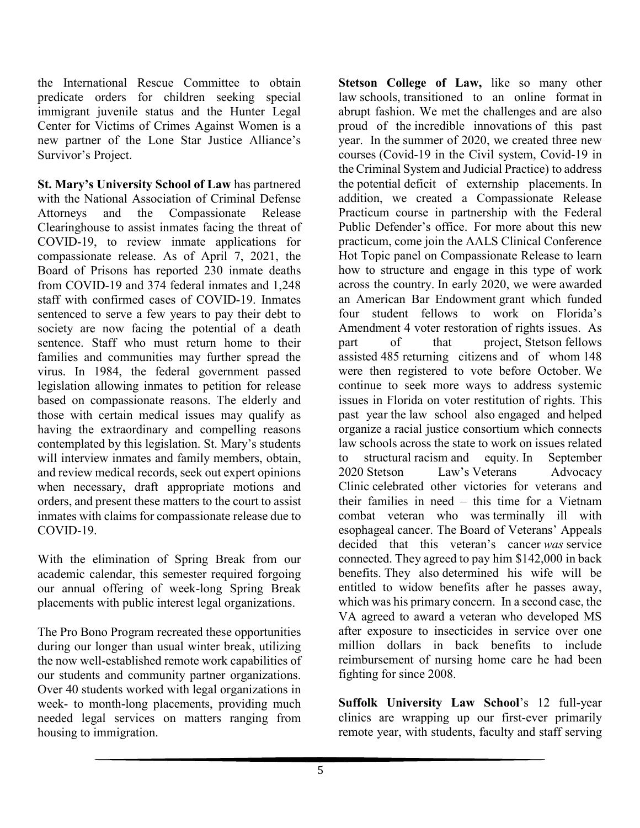the International Rescue Committee to obtain predicate orders for children seeking special immigrant juvenile status and the Hunter Legal Center for Victims of Crimes Against Women is a new partner of the Lone Star Justice Alliance's Survivor's Project.

**St. Mary's University School of Law** has partnered with the National Association of Criminal Defense Attorneys and the Compassionate Release Clearinghouse to assist inmates facing the threat of COVID-19, to review inmate applications for compassionate release. As of April 7, 2021, the Board of Prisons has reported 230 inmate deaths from COVID-19 and 374 federal inmates and 1,248 staff with confirmed cases of COVID-19. Inmates sentenced to serve a few years to pay their debt to society are now facing the potential of a death sentence. Staff who must return home to their families and communities may further spread the virus. In 1984, the federal government passed legislation allowing inmates to petition for release based on compassionate reasons. The elderly and those with certain medical issues may qualify as having the extraordinary and compelling reasons contemplated by this legislation. St. Mary's students will interview inmates and family members, obtain, and review medical records, seek out expert opinions when necessary, draft appropriate motions and orders, and present these matters to the court to assist inmates with claims for compassionate release due to COVID-19.

With the elimination of Spring Break from our academic calendar, this semester required forgoing our annual offering of week-long Spring Break placements with public interest legal organizations.

The Pro Bono Program recreated these opportunities during our longer than usual winter break, utilizing the now well-established remote work capabilities of our students and community partner organizations. Over 40 students worked with legal organizations in week- to month-long placements, providing much needed legal services on matters ranging from housing to immigration.

**Stetson College of Law,** like so many other law schools, transitioned to an online format in abrupt fashion. We met the challenges and are also proud of the incredible innovations of this past year. In the summer of 2020, we created three new courses (Covid-19 in the Civil system, Covid-19 in the Criminal System and Judicial Practice) to address the potential deficit of externship placements. In addition, we created a Compassionate Release Practicum course in partnership with the Federal Public Defender's office. For more about this new practicum, come join the AALS Clinical Conference Hot Topic panel on Compassionate Release to learn how to structure and engage in this type of work across the country. In early 2020, we were awarded an American Bar Endowment grant which funded four student fellows to work on Florida's Amendment 4 voter restoration of rights issues. As part of that project, Stetson fellows assisted 485 returning citizens and of whom 148 were then registered to vote before October. We continue to seek more ways to address systemic issues in Florida on voter restitution of rights. This past year the law school also engaged and helped organize a racial justice consortium which connects law schools across the state to work on issues related to structural racism and equity. In September 2020 Stetson Law's Veterans [Advocacy](https://nam04.safelinks.protection.outlook.com/?url=https%3A%2F%2Fwww.stetson.edu%2Flaw%2Fveterans%2Flegal-help-for-veterans.php&data=04%7C01%7Ckeeshea.turnerrober%40howard.edu%7Cf9b81eeda1354454698708d8fa006b78%7C02ac0c07b75f46bf9b133630ba94bb69%7C0%7C1%7C637534227003528762%7CUnknown%7CTWFpbGZsb3d8eyJWIjoiMC4wLjAwMDAiLCJQIjoiV2luMzIiLCJBTiI6Ik1haWwiLCJXVCI6Mn0%3D%7C3000&sdata=a3kd0KqfXCIig5XWuCrJnelTeoDF1f0wNHSRFv2Uz4E%3D&reserved=0) [Clinic](https://nam04.safelinks.protection.outlook.com/?url=https%3A%2F%2Fwww.stetson.edu%2Flaw%2Fveterans%2Flegal-help-for-veterans.php&data=04%7C01%7Ckeeshea.turnerrober%40howard.edu%7Cf9b81eeda1354454698708d8fa006b78%7C02ac0c07b75f46bf9b133630ba94bb69%7C0%7C1%7C637534227003528762%7CUnknown%7CTWFpbGZsb3d8eyJWIjoiMC4wLjAwMDAiLCJQIjoiV2luMzIiLCJBTiI6Ik1haWwiLCJXVCI6Mn0%3D%7C3000&sdata=a3kd0KqfXCIig5XWuCrJnelTeoDF1f0wNHSRFv2Uz4E%3D&reserved=0) celebrated other victories for veterans and their families in need – this time for a Vietnam combat veteran who was terminally ill with esophageal cancer. The Board of Veterans' Appeals decided that this veteran's cancer *was* service connected. They agreed to pay him \$142,000 in back benefits. They also determined his wife will be entitled to widow benefits after he passes away, which was his primary concern.  In a second case, the VA agreed to award a veteran who developed MS after exposure to insecticides in service over one million dollars in back benefits to include reimbursement of nursing home care he had been fighting for since 2008.

**Suffolk University Law School**'s 12 full-year clinics are wrapping up our first-ever primarily remote year, with students, faculty and staff serving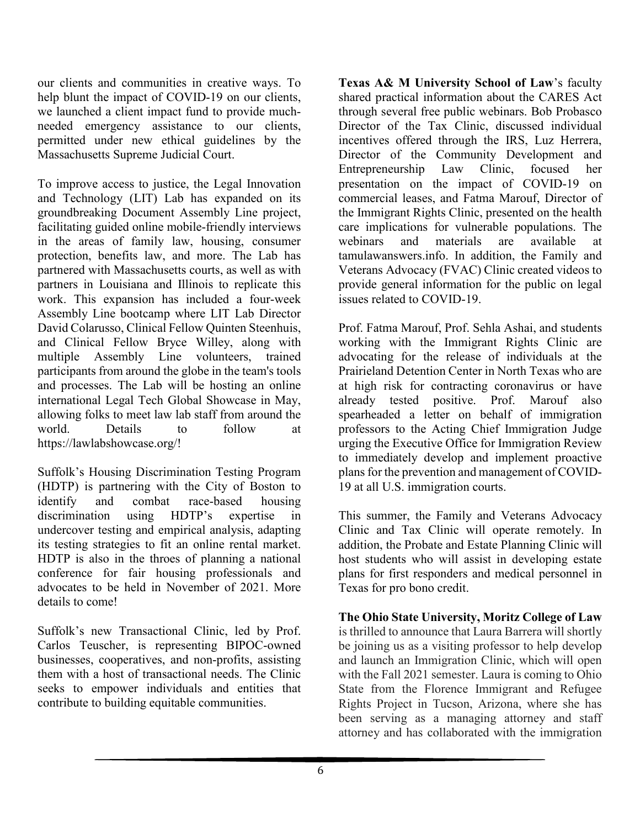our clients and communities in creative ways. To help blunt the impact of COVID-19 on our clients, we launched a client impact fund to provide muchneeded emergency assistance to our clients, permitted under new ethical guidelines by the Massachusetts Supreme Judicial Court.

To improve access to justice, the Legal Innovation and Technology (LIT) Lab has expanded on its groundbreaking Document Assembly Line project, facilitating guided online mobile-friendly interviews in the areas of family law, housing, consumer protection, benefits law, and more. The Lab has partnered with Massachusetts courts, as well as with partners in Louisiana and Illinois to replicate this work. This expansion has included a four-week Assembly Line bootcamp where LIT Lab Director David Colarusso, Clinical Fellow Quinten Steenhuis, and Clinical Fellow Bryce Willey, along with multiple Assembly Line volunteers, trained participants from around the globe in the team's tools and processes. The Lab will be hosting an online international Legal Tech Global Showcase in May, allowing folks to meet law lab staff from around the world. Details to follow at https://lawlabshowcase.org/!

Suffolk's Housing Discrimination Testing Program (HDTP) is partnering with the City of Boston to identify and combat race-based housing discrimination using HDTP's expertise in undercover testing and empirical analysis, adapting its testing strategies to fit an online rental market. HDTP is also in the throes of planning a national conference for fair housing professionals and advocates to be held in November of 2021. More details to come!

Suffolk's new Transactional Clinic, led by Prof. Carlos Teuscher, is representing BIPOC-owned businesses, cooperatives, and non-profits, assisting them with a host of transactional needs. The Clinic seeks to empower individuals and entities that contribute to building equitable communities.

**Texas A& M University School of Law**'s faculty shared practical information about the CARES Act through several free public webinars. Bob Probasco Director of the Tax Clinic, discussed individual incentives offered through the IRS, Luz Herrera, Director of the Community Development and Entrepreneurship Law Clinic, focused her presentation on the impact of COVID-19 on commercial leases, and Fatma Marouf, Director of the Immigrant Rights Clinic, presented on the health care implications for vulnerable populations. The webinars and materials are available at tamulawanswers.info. In addition, the Family and Veterans Advocacy (FVAC) Clinic created videos to provide general information for the public on legal issues related to COVID-19.

Prof. Fatma Marouf, Prof. Sehla Ashai, and students working with the Immigrant Rights Clinic are advocating for the release of individuals at the Prairieland Detention Center in North Texas who are at high risk for contracting coronavirus or have already tested positive. Prof. Marouf also spearheaded a letter on behalf of immigration professors to the Acting Chief Immigration Judge urging the Executive Office for Immigration Review to immediately develop and implement proactive plans for the prevention and management of COVID-19 at all U.S. immigration courts.

This summer, the Family and Veterans Advocacy Clinic and Tax Clinic will operate remotely. In addition, the Probate and Estate Planning Clinic will host students who will assist in developing estate plans for first responders and medical personnel in Texas for pro bono credit.

**The Ohio State University, Moritz College of Law**  is thrilled to announce that Laura Barrera will shortly be joining us as a visiting professor to help develop and launch an Immigration Clinic, which will open with the Fall 2021 semester. Laura is coming to Ohio State from the Florence Immigrant and Refugee Rights Project in Tucson, Arizona, where she has been serving as a managing attorney and staff attorney and has collaborated with the immigration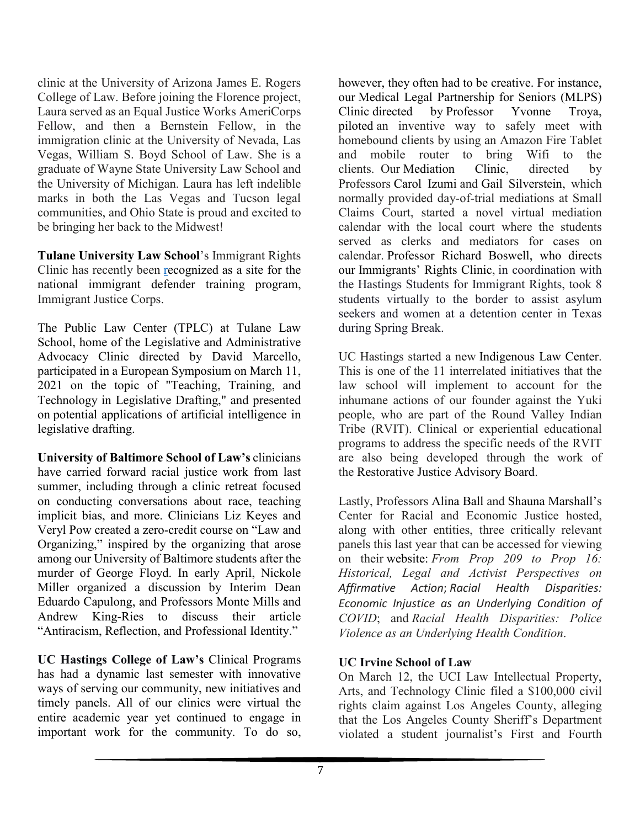clinic at the University of Arizona James E. Rogers College of Law. Before joining the Florence project, Laura served as an Equal Justice Works AmeriCorps Fellow, and then a Bernstein Fellow, in the immigration clinic at the University of Nevada, Las Vegas, William S. Boyd School of Law. She is a graduate of Wayne State University Law School and the University of Michigan. Laura has left indelible marks in both the Las Vegas and Tucson legal communities, and Ohio State is proud and excited to be bringing her back to the Midwest!

**Tulane University Law School**'s Immigrant Rights Clinic has recently been [recognized](https://nam04.safelinks.protection.outlook.com/?url=https%3A%2F%2Flaw.tulane.edu%2Fnews%2Ftulane-immigrant-rights-clinic-selected-site-national-defender-training-program&data=04%7C01%7Ckeeshea.turnerrober%40howard.edu%7C2c4f8b4ae18a443f7bbe08d8fa2b8ab6%7C02ac0c07b75f46bf9b133630ba94bb69%7C0%7C1%7C637534412224942219%7CUnknown%7CTWFpbGZsb3d8eyJWIjoiMC4wLjAwMDAiLCJQIjoiV2luMzIiLCJBTiI6Ik1haWwiLCJXVCI6Mn0%3D%7C2000&sdata=biK3hY%2FE4Od8FZSM8fd%2FqkimR62eLHFgsmsOqvm4%2FaY%3D&reserved=0) as a site for the national [immigrant](https://nam04.safelinks.protection.outlook.com/?url=https%3A%2F%2Flaw.tulane.edu%2Fnews%2Ftulane-immigrant-rights-clinic-selected-site-national-defender-training-program&data=04%7C01%7Ckeeshea.turnerrober%40howard.edu%7C2c4f8b4ae18a443f7bbe08d8fa2b8ab6%7C02ac0c07b75f46bf9b133630ba94bb69%7C0%7C1%7C637534412224942219%7CUnknown%7CTWFpbGZsb3d8eyJWIjoiMC4wLjAwMDAiLCJQIjoiV2luMzIiLCJBTiI6Ik1haWwiLCJXVCI6Mn0%3D%7C2000&sdata=biK3hY%2FE4Od8FZSM8fd%2FqkimR62eLHFgsmsOqvm4%2FaY%3D&reserved=0) defender training program, Immigrant Justice Corps.

The Public Law Center (TPLC) at Tulane Law School, home of the Legislative and Administrative Advocacy Clinic directed by David Marcello, participated in a European Symposium on March 11, 2021 on the topic of "Teaching, Training, and Technology in Legislative Drafting," and presented on potential applications of artificial intelligence in legislative drafting.

**University of Baltimore School of Law's** clinicians have carried forward racial justice work from last summer, including through a clinic retreat focused on conducting conversations about race, teaching implicit bias, and more. Clinicians Liz Keyes and Veryl Pow created a zero-credit course on "Law and Organizing," inspired by the organizing that arose among our University of Baltimore students after the murder of George Floyd. In early April, Nickole Miller organized a discussion by Interim Dean Eduardo Capulong, and Professors Monte Mills and Andrew King-Ries to discuss their article "Antiracism, Reflection, and Professional Identity."

**UC Hastings College of Law's** Clinical Programs has had a dynamic last semester with innovative ways of serving our community, new initiatives and timely panels. All of our clinics were virtual the entire academic year yet continued to engage in important work for the community. To do so,

however, they often had to be creative. For instance, our Medical Legal [Partnership](https://nam04.safelinks.protection.outlook.com/?url=https%3A%2F%2Fwww.uchastings.edu%2Facademics%2Fexperiential-learning-opportunities%2Fclinical-programs%2Fmedical-legal-partnership-for-seniors-clinic%2F&data=04%7C01%7Ckeeshea.turnerrober%40Howard.edu%7C4f87878f2980406b490a08d8f9d492c9%7C02ac0c07b75f46bf9b133630ba94bb69%7C0%7C0%7C637534038680073639%7CUnknown%7CTWFpbGZsb3d8eyJWIjoiMC4wLjAwMDAiLCJQIjoiV2luMzIiLCJBTiI6Ik1haWwiLCJXVCI6Mn0%3D%7C1000&sdata=XvpfFBCARzi%2B3igY1GftXeFNkOTZew2bpHkFti%2FyoVM%3D&reserved=0) for Seniors (MLPS) [Clinic](https://nam04.safelinks.protection.outlook.com/?url=https%3A%2F%2Fwww.uchastings.edu%2Facademics%2Fexperiential-learning-opportunities%2Fclinical-programs%2Fmedical-legal-partnership-for-seniors-clinic%2F&data=04%7C01%7Ckeeshea.turnerrober%40Howard.edu%7C4f87878f2980406b490a08d8f9d492c9%7C02ac0c07b75f46bf9b133630ba94bb69%7C0%7C0%7C637534038680073639%7CUnknown%7CTWFpbGZsb3d8eyJWIjoiMC4wLjAwMDAiLCJQIjoiV2luMzIiLCJBTiI6Ik1haWwiLCJXVCI6Mn0%3D%7C1000&sdata=XvpfFBCARzi%2B3igY1GftXeFNkOTZew2bpHkFti%2FyoVM%3D&reserved=0) directed by [Professor](https://nam04.safelinks.protection.outlook.com/?url=https%3A%2F%2Fwww.uchastings.edu%2Fpeople%2Fyvonne-troya%2F&data=04%7C01%7Ckeeshea.turnerrober%40Howard.edu%7C4f87878f2980406b490a08d8f9d492c9%7C02ac0c07b75f46bf9b133630ba94bb69%7C0%7C0%7C637534038680073639%7CUnknown%7CTWFpbGZsb3d8eyJWIjoiMC4wLjAwMDAiLCJQIjoiV2luMzIiLCJBTiI6Ik1haWwiLCJXVCI6Mn0%3D%7C1000&sdata=NIbFSC1HuavZdPHesyKoJciabM2duc49MexFtS8RpiE%3D&reserved=0) Yvonne Troya, piloted an inventive way to safely meet with homebound clients by using an Amazon Fire Tablet and mobile router to bring Wifi to the clients. Our [Mediation](https://nam04.safelinks.protection.outlook.com/?url=https%3A%2F%2Fwww.uchastings.edu%2Facademics%2Fcenters%2Fnegotiation-dispute-resolution%2Fmediation-clinic%2F&data=04%7C01%7Ckeeshea.turnerrober%40Howard.edu%7C4f87878f2980406b490a08d8f9d492c9%7C02ac0c07b75f46bf9b133630ba94bb69%7C0%7C0%7C637534038680083594%7CUnknown%7CTWFpbGZsb3d8eyJWIjoiMC4wLjAwMDAiLCJQIjoiV2luMzIiLCJBTiI6Ik1haWwiLCJXVCI6Mn0%3D%7C1000&sdata=SeekCB%2FgmBTEnss0TCzBYbqhXuGgQMg%2BIEo8OzfUCCE%3D&reserved=0) Clinic, directed by Professors Carol [Izumi](https://nam04.safelinks.protection.outlook.com/?url=https%3A%2F%2Fwww.uchastings.edu%2Fpeople%2Fcarol-izumi%2F&data=04%7C01%7Ckeeshea.turnerrober%40Howard.edu%7C4f87878f2980406b490a08d8f9d492c9%7C02ac0c07b75f46bf9b133630ba94bb69%7C0%7C0%7C637534038680083594%7CUnknown%7CTWFpbGZsb3d8eyJWIjoiMC4wLjAwMDAiLCJQIjoiV2luMzIiLCJBTiI6Ik1haWwiLCJXVCI6Mn0%3D%7C1000&sdata=LeJl%2BvRydD6%2FY866LOHDJJv9p0Y7JFZ96BZxP8fM1MI%3D&reserved=0) and Gail [Silverstein,](https://nam04.safelinks.protection.outlook.com/?url=https%3A%2F%2Fwww.uchastings.edu%2Fpeople%2Fgail-silverstein%2F&data=04%7C01%7Ckeeshea.turnerrober%40Howard.edu%7C4f87878f2980406b490a08d8f9d492c9%7C02ac0c07b75f46bf9b133630ba94bb69%7C0%7C0%7C637534038680093556%7CUnknown%7CTWFpbGZsb3d8eyJWIjoiMC4wLjAwMDAiLCJQIjoiV2luMzIiLCJBTiI6Ik1haWwiLCJXVCI6Mn0%3D%7C1000&sdata=31X%2F67XsYbmMUEfoY6Y%2F%2FXFy3BEk9HljIdwrrqRMzK4%3D&reserved=0) which normally provided day-of-trial mediations at Small Claims Court, started a novel virtual mediation calendar with the local court where the students served as clerks and mediators for cases on calendar. [Professor](https://nam04.safelinks.protection.outlook.com/?url=https%3A%2F%2Fwww.uchastings.edu%2Fpeople%2Frichard-boswell%2F&data=04%7C01%7Ckeeshea.turnerrober%40Howard.edu%7C4f87878f2980406b490a08d8f9d492c9%7C02ac0c07b75f46bf9b133630ba94bb69%7C0%7C0%7C637534038680093556%7CUnknown%7CTWFpbGZsb3d8eyJWIjoiMC4wLjAwMDAiLCJQIjoiV2luMzIiLCJBTiI6Ik1haWwiLCJXVCI6Mn0%3D%7C1000&sdata=QVaaDwuJHq5S%2BtZOCNUI3F%2FD2L63mH9vz9FKbcSFMEY%3D&reserved=0) Richard Boswell, who directs our [Immigrants'](https://nam04.safelinks.protection.outlook.com/?url=https%3A%2F%2Fwww.uchastings.edu%2Facademics%2Fexperiential-learning-opportunities%2Fclinical-programs%2Fimmigrants-rights-clinic%2F&data=04%7C01%7Ckeeshea.turnerrober%40Howard.edu%7C4f87878f2980406b490a08d8f9d492c9%7C02ac0c07b75f46bf9b133630ba94bb69%7C0%7C0%7C637534038680103505%7CUnknown%7CTWFpbGZsb3d8eyJWIjoiMC4wLjAwMDAiLCJQIjoiV2luMzIiLCJBTiI6Ik1haWwiLCJXVCI6Mn0%3D%7C1000&sdata=7JL8%2BAOTInpuMtYH99mthtjm%2FY70oqnqYDOGwdAudU8%3D&reserved=0) Rights Clinic, in coordination with the Hastings Students for Immigrant Rights, took 8 students virtually to the border to assist asylum seekers and women at a detention center in Texas during Spring Break.

UC Hastings started a new [Indigenous](https://nam04.safelinks.protection.outlook.com/?url=https%3A%2F%2Fwww.uchastings.edu%2Facademics%2Fcenters%2Findigenous-law-center%2F&data=04%7C01%7Ckeeshea.turnerrober%40Howard.edu%7C4f87878f2980406b490a08d8f9d492c9%7C02ac0c07b75f46bf9b133630ba94bb69%7C0%7C0%7C637534038680103505%7CUnknown%7CTWFpbGZsb3d8eyJWIjoiMC4wLjAwMDAiLCJQIjoiV2luMzIiLCJBTiI6Ik1haWwiLCJXVCI6Mn0%3D%7C1000&sdata=Vg1uKlwLWLfwTX7DOlpQ9m8va%2F0os7HlGOSOFeJ7G2Q%3D&reserved=0) Law Center. This is one of the 11 interrelated initiatives that the law school will implement to account for the inhumane actions of our founder against the Yuki people, who are part of the Round Valley Indian Tribe (RVIT). Clinical or experiential educational programs to address the specific needs of the RVIT are also being developed through the work of the [Restorative](https://nam04.safelinks.protection.outlook.com/?url=https%3A%2F%2Fwww.uchastings.edu%2Four-story%2Fhastings-legacy%2Frjab%2F&data=04%7C01%7Ckeeshea.turnerrober%40Howard.edu%7C4f87878f2980406b490a08d8f9d492c9%7C02ac0c07b75f46bf9b133630ba94bb69%7C0%7C0%7C637534038680103505%7CUnknown%7CTWFpbGZsb3d8eyJWIjoiMC4wLjAwMDAiLCJQIjoiV2luMzIiLCJBTiI6Ik1haWwiLCJXVCI6Mn0%3D%7C1000&sdata=jhIx4JvZiZowgVTlnZTwvbf%2FoYkXdA7CT1H1rpR6MX4%3D&reserved=0) Justice Advisory Board.

Lastly, Professors [Alina](https://nam04.safelinks.protection.outlook.com/?url=https%3A%2F%2Fwww.uchastings.edu%2Fpeople%2Falina-ball%2F&data=04%7C01%7Ckeeshea.turnerrober%40Howard.edu%7C4f87878f2980406b490a08d8f9d492c9%7C02ac0c07b75f46bf9b133630ba94bb69%7C0%7C0%7C637534038680113464%7CUnknown%7CTWFpbGZsb3d8eyJWIjoiMC4wLjAwMDAiLCJQIjoiV2luMzIiLCJBTiI6Ik1haWwiLCJXVCI6Mn0%3D%7C1000&sdata=6OkcxGyql2cQXED1F4SjYAzCxOOCw5TsaRpYBJx5J%2B8%3D&reserved=0) Ball and Shauna [Marshall'](https://nam04.safelinks.protection.outlook.com/?url=https%3A%2F%2Fwww.uchastings.edu%2Fpeople%2Fshauna-marshall%2F&data=04%7C01%7Ckeeshea.turnerrober%40Howard.edu%7C4f87878f2980406b490a08d8f9d492c9%7C02ac0c07b75f46bf9b133630ba94bb69%7C0%7C0%7C637534038680113464%7CUnknown%7CTWFpbGZsb3d8eyJWIjoiMC4wLjAwMDAiLCJQIjoiV2luMzIiLCJBTiI6Ik1haWwiLCJXVCI6Mn0%3D%7C1000&sdata=StBpzZAanw3zIB0Vdb0p4ZETqmL4o4ljDH6qom3WdY4%3D&reserved=0)s Center for Racial and Economic Justice hosted, along with other entities, three critically relevant panels this last year that can be accessed for viewing on their [website:](https://nam04.safelinks.protection.outlook.com/?url=https%3A%2F%2Fwww.uchastings.edu%2Facademics%2Fcenters%2Fcenter-racial-economic-justice%2F&data=04%7C01%7Ckeeshea.turnerrober%40Howard.edu%7C4f87878f2980406b490a08d8f9d492c9%7C02ac0c07b75f46bf9b133630ba94bb69%7C0%7C0%7C637534038680123420%7CUnknown%7CTWFpbGZsb3d8eyJWIjoiMC4wLjAwMDAiLCJQIjoiV2luMzIiLCJBTiI6Ik1haWwiLCJXVCI6Mn0%3D%7C1000&sdata=81f3y8x98KESBjzaus22Et8aju40Ayae7qXJ8fNkwoM%3D&reserved=0) *From Prop 209 to Prop 16: Historical, Legal and Activist Perspectives on Affirmative Action*; *Racial Health Disparities: Economic Injustice as an Underlying Condition of COVID*; and *Racial Health Disparities: Police Violence as an Underlying Health Condition*.

#### **UC Irvine School of Law**

On March 12, the UCI Law Intellectual Property, Arts, and Technology Clinic filed a \$100,000 civil rights claim against Los Angeles County, alleging that the Los Angeles County Sheriff's Department violated a student journalist's First and Fourth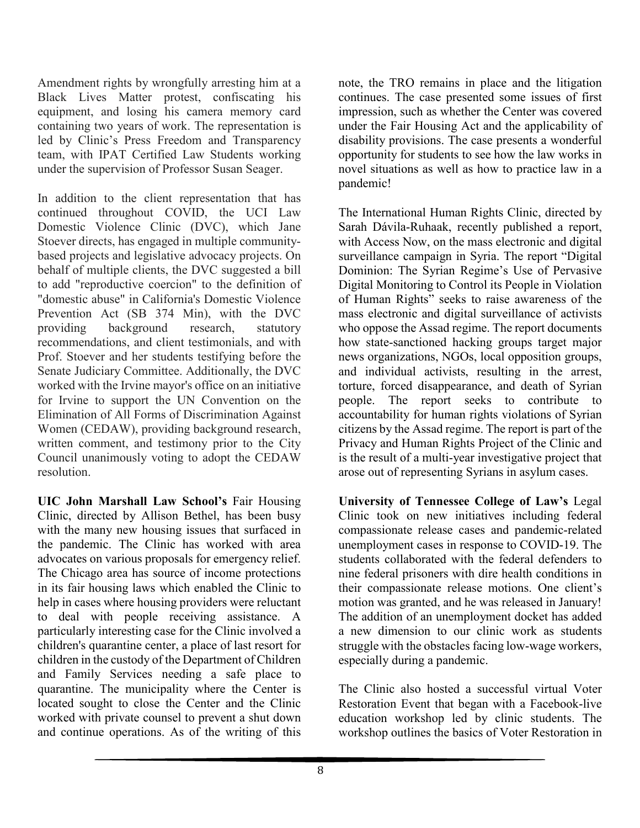Amendment rights by wrongfully arresting him at a Black Lives Matter protest, confiscating his equipment, and losing his camera memory card containing two years of work. The representation is led by Clinic's Press Freedom and Transparency team, with IPAT Certified Law Students working under the supervision of Professor Susan Seager.

In addition to the client representation that has continued throughout COVID, the UCI Law Domestic Violence Clinic (DVC), which Jane Stoever directs, has engaged in multiple communitybased projects and legislative advocacy projects. On behalf of multiple clients, the DVC suggested a bill to add "reproductive coercion" to the definition of "domestic abuse" in California's Domestic Violence Prevention Act (SB 374 Min), with the DVC providing background research, statutory recommendations, and client testimonials, and with Prof. Stoever and her students testifying before the Senate Judiciary Committee. Additionally, the DVC worked with the Irvine mayor's office on an initiative for Irvine to support the UN Convention on the Elimination of All Forms of Discrimination Against Women (CEDAW), providing background research, written comment, and testimony prior to the City Council unanimously voting to adopt the CEDAW resolution.

**UIC John Marshall Law School's** Fair Housing Clinic, directed by Allison Bethel, has been busy with the many new housing issues that surfaced in the pandemic. The Clinic has worked with area advocates on various proposals for emergency relief. The Chicago area has source of income protections in its fair housing laws which enabled the Clinic to help in cases where housing providers were reluctant to deal with people receiving assistance. A particularly interesting case for the Clinic involved a children's quarantine center, a place of last resort for children in the custody of the Department of Children and Family Services needing a safe place to quarantine. The municipality where the Center is located sought to close the Center and the Clinic worked with private counsel to prevent a shut down and continue operations. As of the writing of this

note, the TRO remains in place and the litigation continues. The case presented some issues of first impression, such as whether the Center was covered under the Fair Housing Act and the applicability of disability provisions. The case presents a wonderful opportunity for students to see how the law works in novel situations as well as how to practice law in a pandemic!

The International Human Rights Clinic, directed by Sarah Dávila-Ruhaak, recently published a report, with Access Now, on the mass electronic and digital surveillance campaign in Syria. The report "Digital Dominion: The Syrian Regime's Use of Pervasive Digital Monitoring to Control its People in Violation of Human Rights" seeks to raise awareness of the mass electronic and digital surveillance of activists who oppose the Assad regime. The report documents how state-sanctioned hacking groups target major news organizations, NGOs, local opposition groups, and individual activists, resulting in the arrest, torture, forced disappearance, and death of Syrian people. The report seeks to contribute to accountability for human rights violations of Syrian citizens by the Assad regime. The report is part of the Privacy and Human Rights Project of the Clinic and is the result of a multi-year investigative project that arose out of representing Syrians in asylum cases.

**University of Tennessee College of Law's** Legal Clinic took on new initiatives including federal compassionate release cases and pandemic-related unemployment cases in response to COVID-19. The students collaborated with the federal defenders to nine federal prisoners with dire health conditions in their compassionate release motions. One client's motion was granted, and he was released in January! The addition of an unemployment docket has added a new dimension to our clinic work as students struggle with the obstacles facing low-wage workers, especially during a pandemic.

The Clinic also hosted a successful virtual Voter Restoration Event that began with a Facebook-live education workshop led by clinic students. The workshop outlines the basics of Voter Restoration in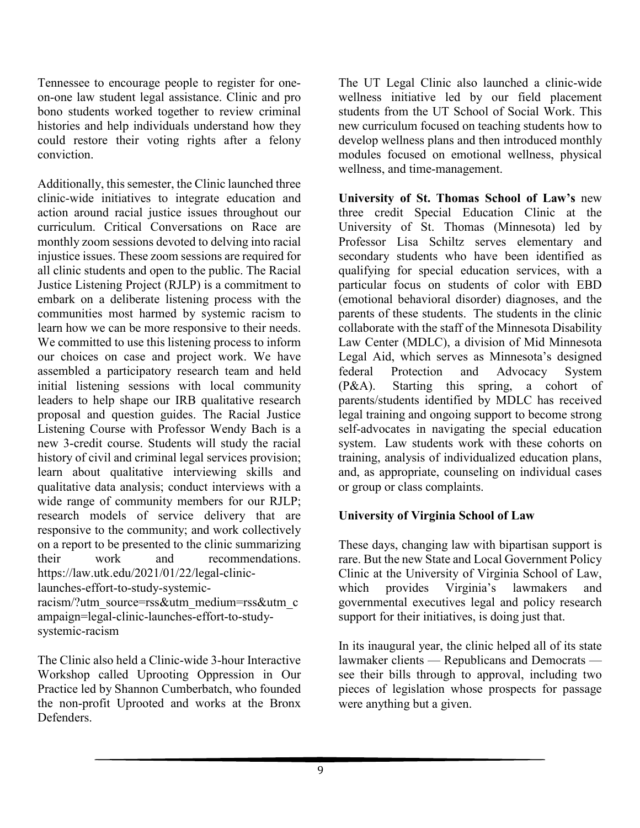Tennessee to encourage people to register for oneon-one law student legal assistance. Clinic and pro bono students worked together to review criminal histories and help individuals understand how they could restore their voting rights after a felony conviction.

Additionally, this semester, the Clinic launched three clinic-wide initiatives to integrate education and action around racial justice issues throughout our curriculum. Critical Conversations on Race are monthly zoom sessions devoted to delving into racial injustice issues. These zoom sessions are required for all clinic students and open to the public. The Racial Justice Listening Project (RJLP) is a commitment to embark on a deliberate listening process with the communities most harmed by systemic racism to learn how we can be more responsive to their needs. We committed to use this listening process to inform our choices on case and project work. We have assembled a participatory research team and held initial listening sessions with local community leaders to help shape our IRB qualitative research proposal and question guides. The Racial Justice Listening Course with Professor Wendy Bach is a new 3-credit course. Students will study the racial history of civil and criminal legal services provision; learn about qualitative interviewing skills and qualitative data analysis; conduct interviews with a wide range of community members for our RJLP; research models of service delivery that are responsive to the community; and work collectively on a report to be presented to the clinic summarizing their work and recommendations. https://law.utk.edu/2021/01/22/legal-cliniclaunches-effort-to-study-systemic-

racism/?utm\_source=rss&utm\_medium=rss&utm\_c ampaign=legal-clinic-launches-effort-to-studysystemic-racism

The Clinic also held a Clinic-wide 3-hour Interactive Workshop called Uprooting Oppression in Our Practice led by Shannon Cumberbatch, who founded the non-profit Uprooted and works at the Bronx Defenders.

The UT Legal Clinic also launched a clinic-wide wellness initiative led by our field placement students from the UT School of Social Work. This new curriculum focused on teaching students how to develop wellness plans and then introduced monthly modules focused on emotional wellness, physical wellness, and time-management.

**University of St. Thomas School of Law's** new three credit Special Education Clinic at the University of St. Thomas (Minnesota) led by Professor Lisa Schiltz serves elementary and secondary students who have been identified as qualifying for special education services, with a particular focus on students of color with EBD (emotional behavioral disorder) diagnoses, and the parents of these students. The students in the clinic collaborate with the staff of the Minnesota Disability Law Center (MDLC), a division of Mid Minnesota Legal Aid, which serves as Minnesota's designed federal Protection and Advocacy System (P&A). Starting this spring, a cohort of parents/students identified by MDLC has received legal training and ongoing support to become strong self-advocates in navigating the special education system. Law students work with these cohorts on training, analysis of individualized education plans, and, as appropriate, counseling on individual cases or group or class complaints.

#### **University of Virginia School of Law**

These days, changing law with bipartisan support is rare. But the new State and Local Government Policy Clinic at the University of Virginia School of Law,<br>which provides Virginia's lawmakers and which provides Virginia's lawmakers and governmental executives legal and policy research support for their initiatives, is doing just that.

In its inaugural year, the clinic helped all of its state lawmaker clients — Republicans and Democrats see their bills through to approval, including two pieces of legislation whose prospects for passage were anything but a given.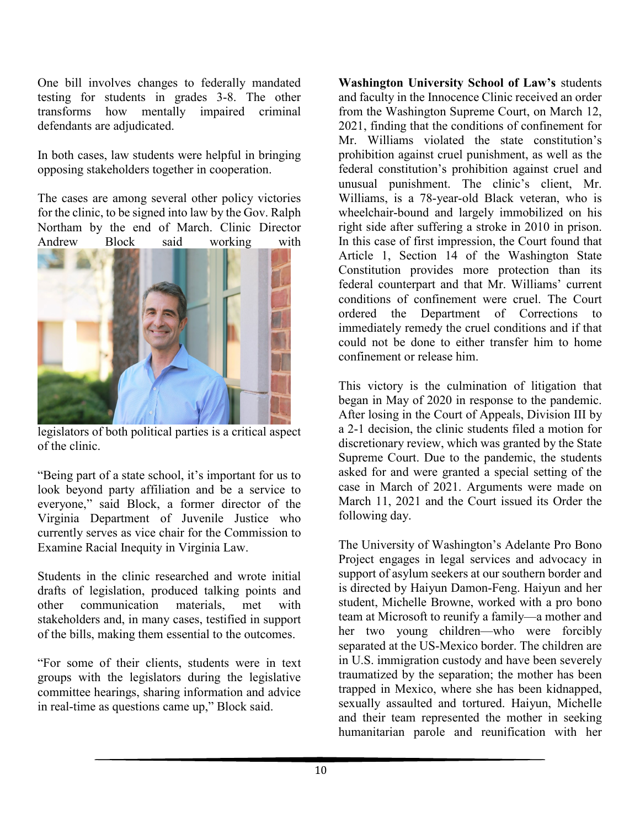One bill involves changes to federally mandated testing for students in grades 3-8. The other transforms how mentally impaired criminal defendants are adjudicated.

In both cases, law students were helpful in bringing opposing stakeholders together in cooperation.

The cases are among several other policy victories for the clinic, to be signed into law by the Gov. Ralph Northam by the end of March. Clinic Director Andrew Block said working with



legislators of both political parties is a critical aspect of the clinic.

"Being part of a state school, it's important for us to look beyond party affiliation and be a service to everyone," said Block, a former director of the Virginia Department of Juvenile Justice who currently serves as vice chair for the Commission to Examine Racial Inequity in Virginia Law.

Students in the clinic researched and wrote initial drafts of legislation, produced talking points and<br>other communication materials, met with other communication materials, met with stakeholders and, in many cases, testified in support of the bills, making them essential to the outcomes.

"For some of their clients, students were in text groups with the legislators during the legislative committee hearings, sharing information and advice in real-time as questions came up," Block said.

**Washington University School of Law's** students and faculty in the Innocence Clinic received an order from the Washington Supreme Court, on March 12, 2021, finding that the conditions of confinement for Mr. Williams violated the state constitution's prohibition against cruel punishment, as well as the federal constitution's prohibition against cruel and unusual punishment. The clinic's client, Mr. Williams, is a 78-year-old Black veteran, who is wheelchair-bound and largely immobilized on his right side after suffering a stroke in 2010 in prison. In this case of first impression, the Court found that Article 1, Section 14 of the Washington State Constitution provides more protection than its federal counterpart and that Mr. Williams' current conditions of confinement were cruel. The Court ordered the Department of Corrections to immediately remedy the cruel conditions and if that could not be done to either transfer him to home confinement or release him.

This victory is the culmination of litigation that began in May of 2020 in response to the pandemic. After losing in the Court of Appeals, Division III by a 2-1 decision, the clinic students filed a motion for discretionary review, which was granted by the State Supreme Court. Due to the pandemic, the students asked for and were granted a special setting of the case in March of 2021. Arguments were made on March 11, 2021 and the Court issued its Order the following day.

The University of Washington's Adelante Pro Bono Project engages in legal services and advocacy in support of asylum seekers at our southern border and is directed by Haiyun Damon-Feng. Haiyun and her student, Michelle Browne, worked with a pro bono team at Microsoft to reunify a family—a mother and her two young children—who were forcibly separated at the US-Mexico border. The children are in U.S. immigration custody and have been severely traumatized by the separation; the mother has been trapped in Mexico, where she has been kidnapped, sexually assaulted and tortured. Haiyun, Michelle and their team represented the mother in seeking humanitarian parole and reunification with her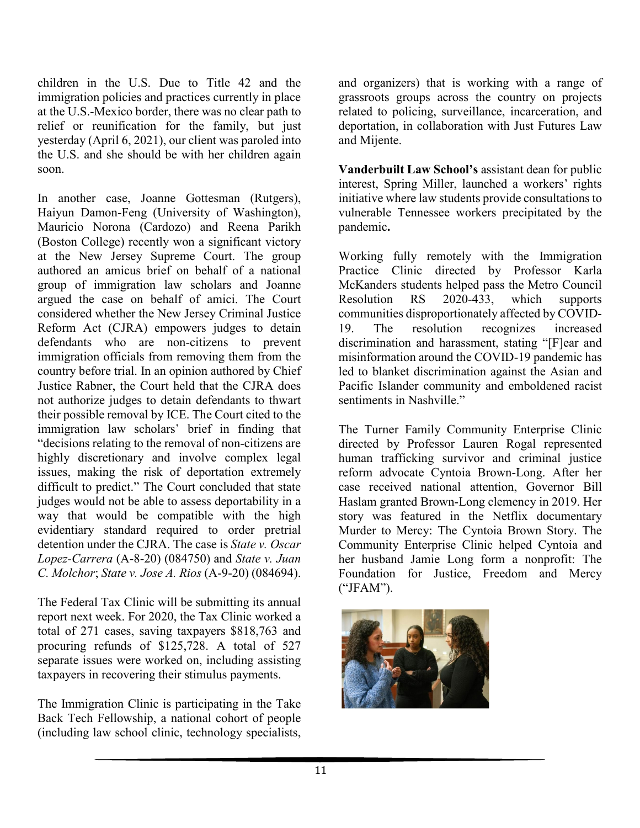children in the U.S. Due to Title 42 and the immigration policies and practices currently in place at the U.S.-Mexico border, there was no clear path to relief or reunification for the family, but just yesterday (April 6, 2021), our client was paroled into the U.S. and she should be with her children again soon.

In another case, Joanne Gottesman (Rutgers), Haiyun Damon-Feng (University of Washington), Mauricio Norona (Cardozo) and Reena Parikh (Boston College) recently won a significant victory at the New Jersey Supreme Court. The group authored an amicus brief on behalf of a national group of immigration law scholars and Joanne argued the case on behalf of amici. The Court considered whether the New Jersey Criminal Justice Reform Act (CJRA) empowers judges to detain defendants who are non-citizens to prevent immigration officials from removing them from the country before trial. In an opinion authored by Chief Justice Rabner, the Court held that the CJRA does not authorize judges to detain defendants to thwart their possible removal by ICE. The Court cited to the immigration law scholars' brief in finding that "decisions relating to the removal of non-citizens are highly discretionary and involve complex legal issues, making the risk of deportation extremely difficult to predict." The Court concluded that state judges would not be able to assess deportability in a way that would be compatible with the high evidentiary standard required to order pretrial detention under the CJRA. The case is *State v. Oscar Lopez-Carrera* (A-8-20) (084750) and *State v. Juan C. Molchor*; *State v. Jose A. Rios* (A-9-20) (084694).

The Federal Tax Clinic will be submitting its annual report next week. For 2020, the Tax Clinic worked a total of 271 cases, saving taxpayers \$818,763 and procuring refunds of \$125,728. A total of 527 separate issues were worked on, including assisting taxpayers in recovering their stimulus payments.

The Immigration Clinic is participating in the Take Back Tech Fellowship, a national cohort of people (including law school clinic, technology specialists,

and organizers) that is working with a range of grassroots groups across the country on projects related to policing, surveillance, incarceration, and deportation, in collaboration with Just Futures Law and Mijente.

**Vanderbuilt Law School's** assistant dean for public interest, Spring Miller, launched a workers' rights initiative where law students provide consultations to vulnerable Tennessee workers precipitated by the pandemic**.**

Working fully remotely with the Immigration Practice Clinic directed by Professor Karla McKanders students helped pass the Metro Council Resolution RS 2020-433, which supports communities disproportionately affected by COVID-19. The resolution recognizes increased discrimination and harassment, stating "[F]ear and misinformation around the COVID-19 pandemic has led to blanket discrimination against the Asian and Pacific Islander community and emboldened racist sentiments in Nashville."

The Turner Family Community Enterprise Clinic directed by Professor Lauren Rogal represented human trafficking survivor and criminal justice reform advocate Cyntoia Brown-Long. After her case received national attention, Governor Bill Haslam granted Brown-Long clemency in 2019. Her story was featured in the Netflix documentary Murder to Mercy: The Cyntoia Brown Story. The Community Enterprise Clinic helped Cyntoia and her husband Jamie Long form a nonprofit: The Foundation for Justice, Freedom and Mercy ("JFAM").

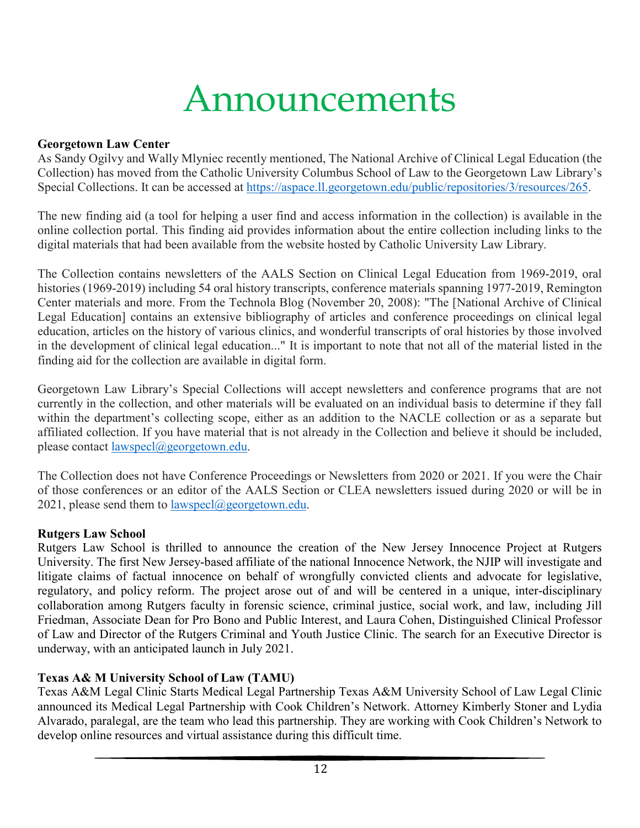## Announcements

#### **Georgetown Law Center**

As Sandy Ogilvy and Wally Mlyniec recently mentioned, The National Archive of Clinical Legal Education (the Collection) has moved from the Catholic University Columbus School of Law to the Georgetown Law Library's Special Collections. It can be accessed at [https://aspace.ll.georgetown.edu/public/repositories/3/resources/265.](https://nam04.safelinks.protection.outlook.com/?url=https%3A%2F%2Faspace.ll.georgetown.edu%2Fpublic%2Frepositories%2F3%2Fresources%2F265&data=04%7C01%7Ckeeshea.turnerrober%40howard.edu%7Ccb8dd6728d13430fafdb08d8fa870980%7C02ac0c07b75f46bf9b133630ba94bb69%7C0%7C0%7C637534805198128027%7CUnknown%7CTWFpbGZsb3d8eyJWIjoiMC4wLjAwMDAiLCJQIjoiV2luMzIiLCJBTiI6Ik1haWwiLCJXVCI6Mn0%3D%7C1000&sdata=6A7zqYYNzJuDFk0faMR%2BS9tJAST5gFNqRvJ4NidG9Jg%3D&reserved=0)

The new finding aid (a tool for helping a user find and access information in the collection) is available in the online collection portal. This finding aid provides information about the entire collection including links to the digital materials that had been available from the website hosted by Catholic University Law Library.

The Collection contains newsletters of the AALS Section on Clinical Legal Education from 1969-2019, oral histories (1969-2019) including 54 oral history transcripts, conference materials spanning 1977-2019, Remington Center materials and more. From the Technola Blog (November 20, 2008): "The [National Archive of Clinical Legal Education] contains an extensive bibliography of articles and conference proceedings on clinical legal education, articles on the history of various clinics, and wonderful transcripts of oral histories by those involved in the development of clinical legal education..." It is important to note that not all of the material listed in the finding aid for the collection are available in digital form.

Georgetown Law Library's Special Collections will accept newsletters and conference programs that are not currently in the collection, and other materials will be evaluated on an individual basis to determine if they fall within the department's collecting scope, either as an addition to the NACLE collection or as a separate but affiliated collection. If you have material that is not already in the Collection and believe it should be included, please contact [lawspecl@georgetown.edu.](mailto:lawspecl@georgetown.edu)

The Collection does not have Conference Proceedings or Newsletters from 2020 or 2021. If you were the Chair of those conferences or an editor of the AALS Section or CLEA newsletters issued during 2020 or will be in 2021, please send them to  $lawspec|@georgetown.edu$ .

#### **Rutgers Law School**

Rutgers Law School is thrilled to announce the creation of the New Jersey Innocence Project at Rutgers University. The first New Jersey-based affiliate of the national Innocence Network, the NJIP will investigate and litigate claims of factual innocence on behalf of wrongfully convicted clients and advocate for legislative, regulatory, and policy reform. The project arose out of and will be centered in a unique, inter-disciplinary collaboration among Rutgers faculty in forensic science, criminal justice, social work, and law, including Jill Friedman, Associate Dean for Pro Bono and Public Interest, and Laura Cohen, Distinguished Clinical Professor of Law and Director of the Rutgers Criminal and Youth Justice Clinic. The search for an Executive Director is underway, with an anticipated launch in July 2021.

#### **Texas A& M University School of Law (TAMU)**

Texas A&M Legal Clinic Starts Medical Legal Partnership Texas A&M University School of Law Legal Clinic announced its Medical Legal Partnership with Cook Children's Network. Attorney Kimberly Stoner and Lydia Alvarado, paralegal, are the team who lead this partnership. They are working with Cook Children's Network to develop online resources and virtual assistance during this difficult time.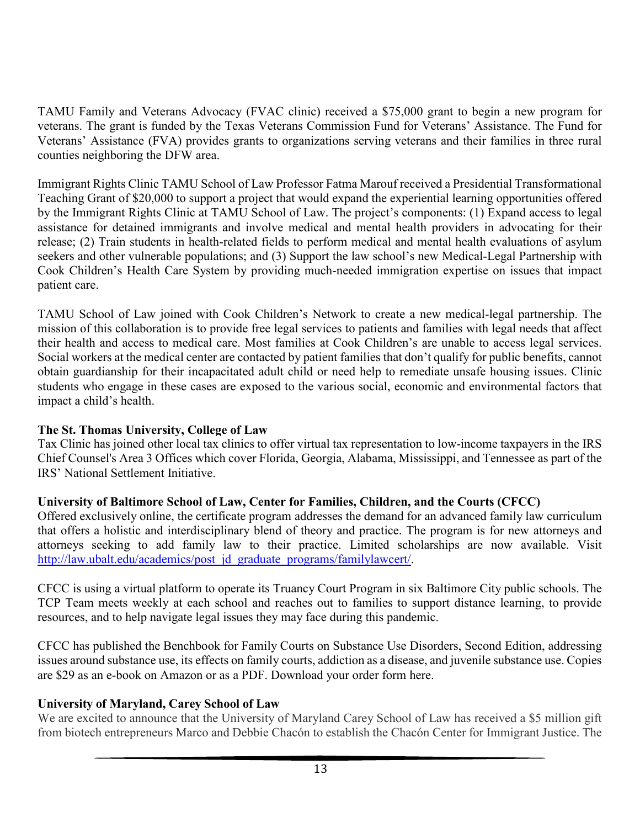TAMU Family and Veterans Advocacy (FVAC clinic) received a \$75,000 grant to begin a new program for veterans. The grant is funded by the Texas Veterans Commission Fund for Veterans' Assistance. The Fund for Veterans' Assistance (FVA) provides grants to organizations serving veterans and their families in three rural counties neighboring the DFW area.

Immigrant Rights Clinic TAMU School of Law Professor Fatma Marouf received a Presidential Transformational Teaching Grant of \$20,000 to support a project that would expand the experiential learning opportunities offered by the Immigrant Rights Clinic at TAMU School of Law. The project's components: (1) Expand access to legal assistance for detained immigrants and involve medical and mental health providers in advocating for their release; (2) Train students in health-related fields to perform medical and mental health evaluations of asylum seekers and other vulnerable populations; and (3) Support the law school's new Medical-Legal Partnership with Cook Children's Health Care System by providing much-needed immigration expertise on issues that impact patient care.

TAMU School of Law joined with Cook Children's Network to create a new medical-legal partnership. The mission of this collaboration is to provide free legal services to patients and families with legal needs that affect their health and access to medical care. Most families at Cook Children's are unable to access legal services. Social workers at the medical center are contacted by patient families that don't qualify for public benefits, cannot obtain guardianship for their incapacitated adult child or need help to remediate unsafe housing issues. Clinic students who engage in these cases are exposed to the various social, economic and environmental factors that impact a child's health.

#### **The St. Thomas University, College of Law**

Tax Clinic has joined other local tax clinics to offer virtual tax representation to low-income taxpayers in the IRS Chief Counsel's Area 3 Offices which cover Florida, Georgia, Alabama, Mississippi, and Tennessee as part of the IRS' National Settlement Initiative.

#### **University of Baltimore School of Law, Center for Families, Children, and the Courts (CFCC)**

Offered exclusively online, the certificate program addresses the demand for an advanced family law curriculum that offers a holistic and interdisciplinary blend of theory and practice. The program is for new attorneys and attorneys seeking to add family law to their practice. Limited scholarships are now available. Visit [http://law.ubalt.edu/academics/post\\_jd\\_graduate\\_programs/familylawcert/.](http://law.ubalt.edu/academics/post_jd_graduate_programs/familylawcert/)

CFCC is using a virtual platform to operate its Truancy Court Program in six Baltimore City public schools. The TCP Team meets weekly at each school and reaches out to families to support distance learning, to provide resources, and to help navigate legal issues they may face during this pandemic.

CFCC has published the Benchbook for Family Courts on Substance Use Disorders, Second Edition, addressing issues around substance use, its effects on family courts, addiction as a disease, and juvenile substance use. Copies are \$29 as an e-book on Amazon or as a PDF. Download your order form here.

#### **University of Maryland, Carey School of Law**

We are excited to announce that the University of Maryland Carey School of Law has received a \$5 million gift from biotech entrepreneurs Marco and Debbie Chacón to establish the Chacón Center for Immigrant Justice. The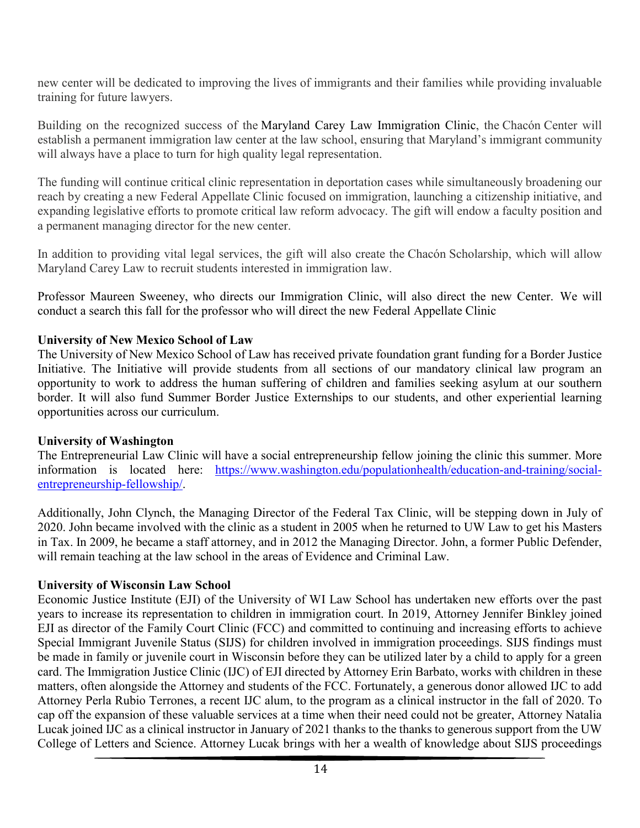new center will be dedicated to improving the lives of immigrants and their families while providing invaluable training for future lawyers.

Building on the recognized success of the Maryland Carey Law [Immigration](https://nam04.safelinks.protection.outlook.com/?url=https%3A%2F%2Fu7061146.ct.sendgrid.net%2Fls%2Fclick%3Fupn%3D4tNED-2FM8iDZJQyQ53jATUWgRE384tHgp8wdcDkAUwQ8t5KmWWbH-2FHlAg8odu0x5T8rSuDBzDiVHEYVTVh8SY5SnoNWgZ1fuf311jYqZlSuk-3DZ0Tb_FJAVenlSeYyGljWnA5MIpU-2FgTsPQyLHrMRKpNfdOQyB-2B2txEXZ5wnJrEBC-2BT5MvTro-2FrB9Xrdv-2BKTXqcVscDYwLdn-2Frdst2EcjrlgwLeOxFVMmyDFkTS5zb4d3yrcF0WQAzF8JrR1bC-2B-2BZsOQWW-2B2ItVY8YJGOMZcyYlZbIIT-2BpHMQXuwcF7LbwH5QcVQSrkgGKb3BRblGmFHm4OeMIybkeU5NaWDxJJwcIMswyczF-2B5pxCIAmT4-2BeHY8SC9b3dh8rtLdS0Eu9fUIEI-2BIL9rnsN-2BN4P6YGIsD-2FWmjDfoMRNtI00xRzeEpvIEP7F46ri-2BkCh0p4-2FuK-2B-2BhOOl4X4g7Y82fFSBYeHd-2F23B8luZO3B8-3D&data=04%7C01%7Ckeeshea.turnerrober%40howard.edu%7C70097221cbbf401acb1408d8f9bdba33%7C02ac0c07b75f46bf9b133630ba94bb69%7C0%7C1%7C637533940565401237%7CUnknown%7CTWFpbGZsb3d8eyJWIjoiMC4wLjAwMDAiLCJQIjoiV2luMzIiLCJBTiI6Ik1haWwiLCJXVCI6Mn0%3D%7C3000&sdata=gpwByDaaUahBhe4h9Dcf18YpVU7Ofsranktz%2FlqlwKs%3D&reserved=0) Clinic, the Chacón Center will establish a permanent immigration law center at the law school, ensuring that Maryland's immigrant community will always have a place to turn for high quality legal representation.

The funding will continue critical clinic representation in deportation cases while simultaneously broadening our reach by creating a new Federal Appellate Clinic focused on immigration, launching a citizenship initiative, and expanding legislative efforts to promote critical law reform advocacy. The gift will endow a faculty position and a permanent managing director for the new center.

In addition to providing vital legal services, the gift will also create the Chacón Scholarship, which will allow Maryland Carey Law to recruit students interested in immigration law.

Professor Maureen Sweeney, who directs our Immigration Clinic, will also direct the new Center. We will conduct a search this fall for the professor who will direct the new Federal Appellate Clinic

#### **University of New Mexico School of Law**

The University of New Mexico School of Law has received private foundation grant funding for a Border Justice Initiative. The Initiative will provide students from all sections of our mandatory clinical law program an opportunity to work to address the human suffering of children and families seeking asylum at our southern border. It will also fund Summer Border Justice Externships to our students, and other experiential learning opportunities across our curriculum.

#### **University of Washington**

The Entrepreneurial Law Clinic will have a social entrepreneurship fellow joining the clinic this summer. More information is located here: [https://www.washington.edu/populationhealth/education-and-training/social](https://www.washington.edu/populationhealth/education-and-training/social-entrepreneurship-fellowship/)[entrepreneurship-fellowship/.](https://www.washington.edu/populationhealth/education-and-training/social-entrepreneurship-fellowship/)

Additionally, John Clynch, the Managing Director of the Federal Tax Clinic, will be stepping down in July of 2020. John became involved with the clinic as a student in 2005 when he returned to UW Law to get his Masters in Tax. In 2009, he became a staff attorney, and in 2012 the Managing Director. John, a former Public Defender, will remain teaching at the law school in the areas of Evidence and Criminal Law.

#### **University of Wisconsin Law School**

Economic Justice Institute (EJI) of the University of WI Law School has undertaken new efforts over the past years to increase its representation to children in immigration court. In 2019, Attorney Jennifer Binkley joined EJI as director of the Family Court Clinic (FCC) and committed to continuing and increasing efforts to achieve Special Immigrant Juvenile Status (SIJS) for children involved in immigration proceedings. SIJS findings must be made in family or juvenile court in Wisconsin before they can be utilized later by a child to apply for a green card. The Immigration Justice Clinic (IJC) of EJI directed by Attorney Erin Barbato, works with children in these matters, often alongside the Attorney and students of the FCC. Fortunately, a generous donor allowed IJC to add Attorney Perla Rubio Terrones, a recent IJC alum, to the program as a clinical instructor in the fall of 2020. To cap off the expansion of these valuable services at a time when their need could not be greater, Attorney Natalia Lucak joined IJC as a clinical instructor in January of 2021 thanks to the thanks to generous support from the UW College of Letters and Science. Attorney Lucak brings with her a wealth of knowledge about SIJS proceedings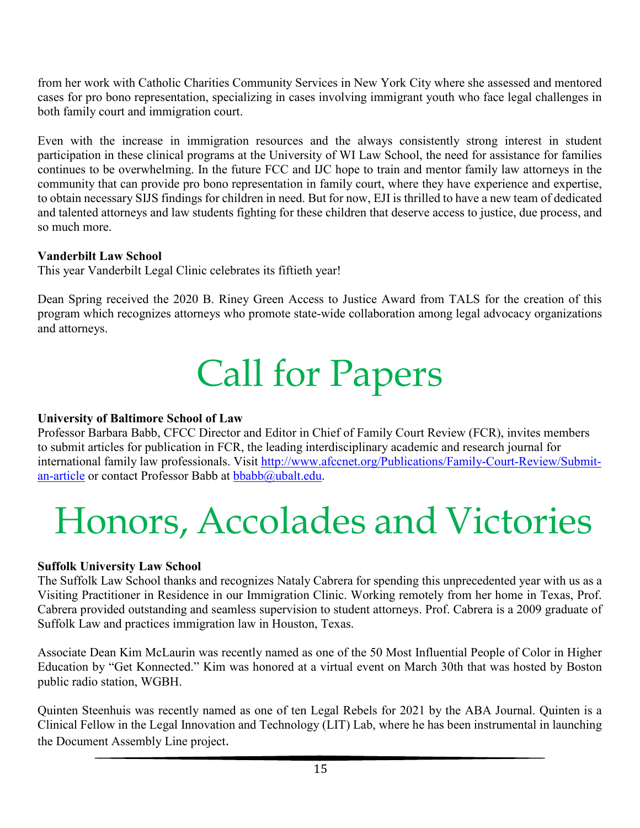from her work with Catholic Charities Community Services in New York City where she assessed and mentored cases for pro bono representation, specializing in cases involving immigrant youth who face legal challenges in both family court and immigration court.

Even with the increase in immigration resources and the always consistently strong interest in student participation in these clinical programs at the University of WI Law School, the need for assistance for families continues to be overwhelming. In the future FCC and IJC hope to train and mentor family law attorneys in the community that can provide pro bono representation in family court, where they have experience and expertise, to obtain necessary SIJS findings for children in need. But for now, EJI is thrilled to have a new team of dedicated and talented attorneys and law students fighting for these children that deserve access to justice, due process, and so much more.

#### **Vanderbilt Law School**

This year Vanderbilt Legal Clinic celebrates its fiftieth year!

Dean Spring received the 2020 B. Riney Green Access to Justice Award from TALS for the creation of this program which recognizes attorneys who promote state-wide collaboration among legal advocacy organizations and attorneys.

# Call for Papers

#### **University of Baltimore School of Law**

Professor Barbara Babb, CFCC Director and Editor in Chief of Family Court Review (FCR), invites members to submit articles for publication in FCR, the leading interdisciplinary academic and research journal for international family law professionals. Visit [http://www.afccnet.org/Publications/Family-Court-Review/Submit](http://www.afccnet.org/Publications/Family-Court-Review/Submit-an-article)[an-article](http://www.afccnet.org/Publications/Family-Court-Review/Submit-an-article) or contact Professor Babb at [bbabb@ubalt.edu.](mailto:bbabb@ubalt.edu)

# Honors, Accolades and Victories

#### **Suffolk University Law School**

The Suffolk Law School thanks and recognizes Nataly Cabrera for spending this unprecedented year with us as a Visiting Practitioner in Residence in our Immigration Clinic. Working remotely from her home in Texas, Prof. Cabrera provided outstanding and seamless supervision to student attorneys. Prof. Cabrera is a 2009 graduate of Suffolk Law and practices immigration law in Houston, Texas.

Associate Dean Kim McLaurin was recently named as one of the 50 Most Influential People of Color in Higher Education by "Get Konnected." Kim was honored at a virtual event on March 30th that was hosted by Boston public radio station, WGBH.

Quinten Steenhuis was recently named as one of ten Legal Rebels for 2021 by the ABA Journal. Quinten is a Clinical Fellow in the Legal Innovation and Technology (LIT) Lab, where he has been instrumental in launching the Document Assembly Line project.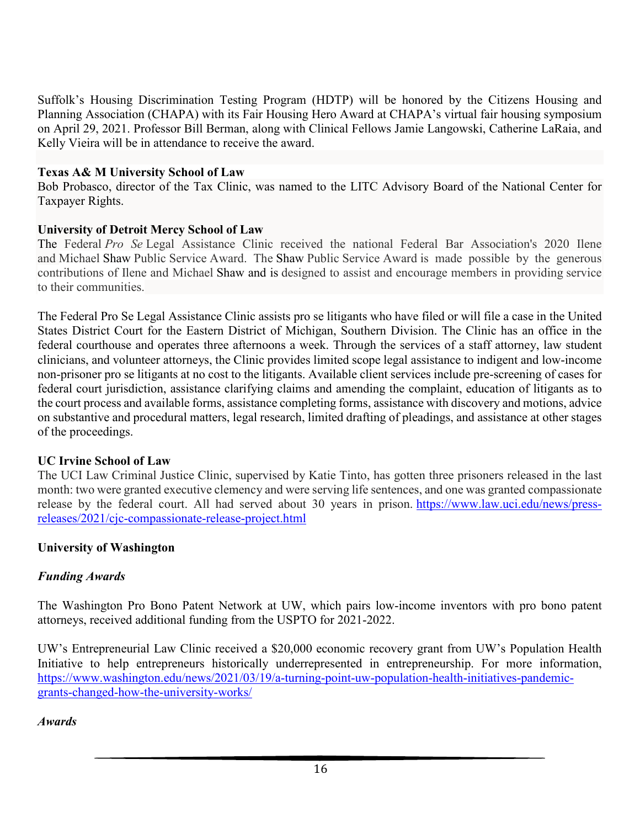Suffolk's Housing Discrimination Testing Program (HDTP) will be honored by the Citizens Housing and Planning Association (CHAPA) with its Fair Housing Hero Award at CHAPA's virtual fair housing symposium on April 29, 2021. Professor Bill Berman, along with Clinical Fellows Jamie Langowski, Catherine LaRaia, and Kelly Vieira will be in attendance to receive the award.

#### **Texas A& M University School of Law**

Bob Probasco, director of the Tax Clinic, was named to the LITC Advisory Board of the National Center for Taxpayer Rights.

#### **University of Detroit Mercy School of Law**

The Federal *Pro Se* Legal Assistance Clinic received the national Federal Bar Association's 2020 Ilene and Michael Shaw Public Service Award. The Shaw Public Service Award is made possible by the generous contributions of Ilene and Michael Shaw and is designed to assist and encourage members in providing service to their communities.

The Federal Pro Se Legal Assistance Clinic assists pro se litigants who have filed or will file a case in the United States District Court for the Eastern District of Michigan, Southern Division. The Clinic has an office in the federal courthouse and operates three afternoons a week. Through the services of a staff attorney, law student clinicians, and volunteer attorneys, the Clinic provides limited scope legal assistance to indigent and low-income non-prisoner pro se litigants at no cost to the litigants. Available client services include pre-screening of cases for federal court jurisdiction, assistance clarifying claims and amending the complaint, education of litigants as to the court process and available forms, assistance completing forms, assistance with discovery and motions, advice on substantive and procedural matters, legal research, limited drafting of pleadings, and assistance at other stages of the proceedings.

#### **UC Irvine School of Law**

The UCI Law Criminal Justice Clinic, supervised by Katie Tinto, has gotten three prisoners released in the last month: two were granted executive clemency and were serving life sentences, and one was granted compassionate release by the federal court. All had served about 30 years in prison. [https://www.law.uci.edu/news/press](https://nam04.safelinks.protection.outlook.com/?url=https%3A%2F%2Fwww.law.uci.edu%2Fnews%2Fpress-releases%2F2021%2Fcjc-compassionate-release-project.html&data=04%7C01%7Ckeeshea.turnerrober%40howard.edu%7C39e2ec2058ea4667473408d8fa389d03%7C02ac0c07b75f46bf9b133630ba94bb69%7C0%7C1%7C637534468385738871%7CUnknown%7CTWFpbGZsb3d8eyJWIjoiMC4wLjAwMDAiLCJQIjoiV2luMzIiLCJBTiI6Ik1haWwiLCJXVCI6Mn0%3D%7C3000&sdata=g5i%2FcrYyqK8vDD%2B8cBxtVvoG6h5SSTH9Ap2i5jZsROU%3D&reserved=0)[releases/2021/cjc-compassionate-release-project.html](https://nam04.safelinks.protection.outlook.com/?url=https%3A%2F%2Fwww.law.uci.edu%2Fnews%2Fpress-releases%2F2021%2Fcjc-compassionate-release-project.html&data=04%7C01%7Ckeeshea.turnerrober%40howard.edu%7C39e2ec2058ea4667473408d8fa389d03%7C02ac0c07b75f46bf9b133630ba94bb69%7C0%7C1%7C637534468385738871%7CUnknown%7CTWFpbGZsb3d8eyJWIjoiMC4wLjAwMDAiLCJQIjoiV2luMzIiLCJBTiI6Ik1haWwiLCJXVCI6Mn0%3D%7C3000&sdata=g5i%2FcrYyqK8vDD%2B8cBxtVvoG6h5SSTH9Ap2i5jZsROU%3D&reserved=0)

#### **University of Washington**

#### *Funding Awards*

The Washington Pro Bono Patent Network at UW, which pairs low-income inventors with pro bono patent attorneys, received additional funding from the USPTO for 2021-2022.

UW's Entrepreneurial Law Clinic received a \$20,000 economic recovery grant from UW's Population Health Initiative to help entrepreneurs historically underrepresented in entrepreneurship. For more information, [https://www.washington.edu/news/2021/03/19/a-turning-point-uw-population-health-initiatives-pandemic](https://www.washington.edu/news/2021/03/19/a-turning-point-uw-population-health-initiatives-pandemic-grants-changed-how-the-university-works/)[grants-changed-how-the-university-works/](https://www.washington.edu/news/2021/03/19/a-turning-point-uw-population-health-initiatives-pandemic-grants-changed-how-the-university-works/)

#### *Awards*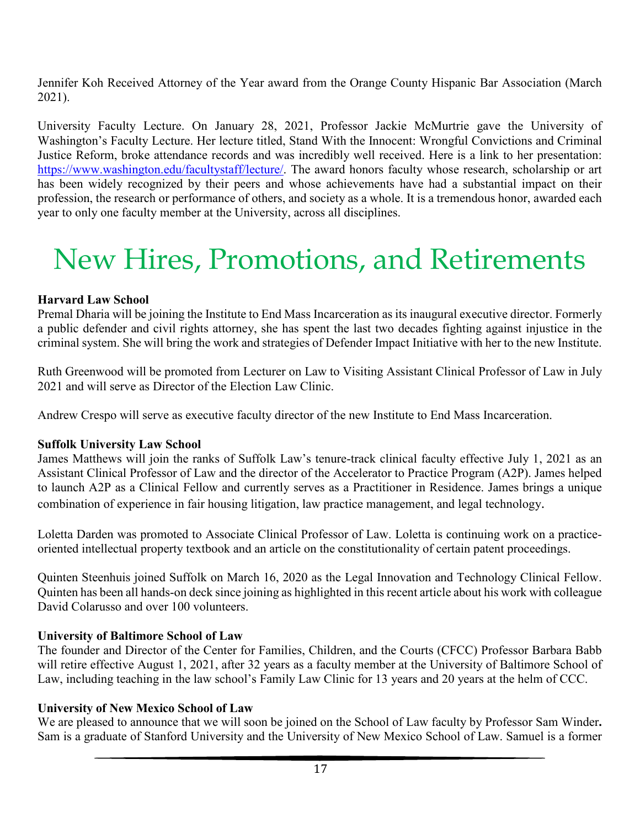Jennifer Koh Received Attorney of the Year award from the Orange County Hispanic Bar Association (March 2021).

University Faculty Lecture. On January 28, 2021, Professor Jackie McMurtrie gave the University of Washington's Faculty Lecture. Her lecture titled, Stand With the Innocent: Wrongful Convictions and Criminal Justice Reform, broke attendance records and was incredibly well received. Here is a link to her presentation: [https://www.washington.edu/facultystaff/lecture/.](https://www.washington.edu/facultystaff/lecture/) The award honors faculty whose research, scholarship or art has been widely recognized by their peers and whose achievements have had a substantial impact on their profession, the research or performance of others, and society as a whole. It is a tremendous honor, awarded each year to only one faculty member at the University, across all disciplines.

## New Hires, Promotions, and Retirements

#### **Harvard Law School**

Premal Dharia will be joining the Institute to End Mass Incarceration as its inaugural executive director. Formerly a public defender and civil rights attorney, she has spent the last two decades fighting against injustice in the criminal system. She will bring the work and strategies of Defender Impact Initiative with her to the new Institute.

Ruth Greenwood will be promoted from Lecturer on Law to Visiting Assistant Clinical Professor of Law in July 2021 and will serve as Director of the Election Law Clinic.

Andrew Crespo will serve as executive faculty director of the new Institute to End Mass Incarceration.

#### **Suffolk University Law School**

James Matthews will join the ranks of Suffolk Law's tenure-track clinical faculty effective July 1, 2021 as an Assistant Clinical Professor of Law and the director of the Accelerator to Practice Program (A2P). James helped to launch A2P as a Clinical Fellow and currently serves as a Practitioner in Residence. James brings a unique combination of experience in fair housing litigation, law practice management, and legal technology.

Loletta Darden was promoted to Associate Clinical Professor of Law. Loletta is continuing work on a practiceoriented intellectual property textbook and an article on the constitutionality of certain patent proceedings.

Quinten Steenhuis joined Suffolk on March 16, 2020 as the Legal Innovation and Technology Clinical Fellow. Quinten has been all hands-on deck since joining as highlighted in this recent article about his work with colleague David Colarusso and over 100 volunteers.

#### **University of Baltimore School of Law**

The founder and Director of the Center for Families, Children, and the Courts (CFCC) Professor Barbara Babb will retire effective August 1, 2021, after 32 years as a faculty member at the University of Baltimore School of Law, including teaching in the law school's Family Law Clinic for 13 years and 20 years at the helm of CCC.

#### **University of New Mexico School of Law**

We are pleased to announce that we will soon be joined on the School of Law faculty by Professor Sam Winder**.** Sam is a graduate of Stanford University and the University of New Mexico School of Law. Samuel is a former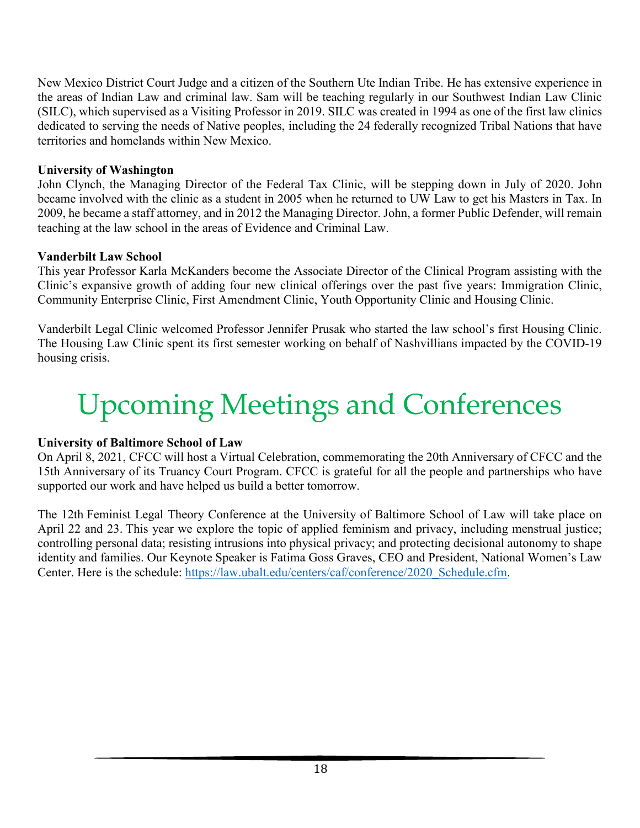New Mexico District Court Judge and a citizen of the Southern Ute Indian Tribe. He has extensive experience in the areas of Indian Law and criminal law. Sam will be teaching regularly in our Southwest Indian Law Clinic (SILC), which supervised as a Visiting Professor in 2019. SILC was created in 1994 as one of the first law clinics dedicated to serving the needs of Native peoples, including the 24 federally recognized Tribal Nations that have territories and homelands within New Mexico.

#### **University of Washington**

John Clynch, the Managing Director of the Federal Tax Clinic, will be stepping down in July of 2020. John became involved with the clinic as a student in 2005 when he returned to UW Law to get his Masters in Tax. In 2009, he became a staff attorney, and in 2012 the Managing Director. John, a former Public Defender, will remain teaching at the law school in the areas of Evidence and Criminal Law.

#### **Vanderbilt Law School**

This year Professor Karla McKanders become the Associate Director of the Clinical Program assisting with the Clinic's expansive growth of adding four new clinical offerings over the past five years: Immigration Clinic, Community Enterprise Clinic, First Amendment Clinic, Youth Opportunity Clinic and Housing Clinic.

Vanderbilt Legal Clinic welcomed Professor Jennifer Prusak who started the law school's first Housing Clinic. The Housing Law Clinic spent its first semester working on behalf of Nashvillians impacted by the COVID-19 housing crisis.

## Upcoming Meetings and Conferences

#### **University of Baltimore School of Law**

On April 8, 2021, CFCC will host a Virtual Celebration, commemorating the 20th Anniversary of CFCC and the 15th Anniversary of its Truancy Court Program. CFCC is grateful for all the people and partnerships who have supported our work and have helped us build a better tomorrow.

The 12th Feminist Legal Theory Conference at the University of Baltimore School of Law will take place on April 22 and 23. This year we explore the topic of applied feminism and privacy, including menstrual justice; controlling personal data; resisting intrusions into physical privacy; and protecting decisional autonomy to shape identity and families. Our Keynote Speaker is Fatima Goss Graves, CEO and President, National Women's Law Center. Here is the schedule: [https://law.ubalt.edu/centers/caf/conference/2020\\_Schedule.cfm.](https://nam04.safelinks.protection.outlook.com/?url=https%3A%2F%2Flaw.ubalt.edu%2Fcenters%2Fcaf%2Fconference%2F2020_Schedule.cfm&data=04%7C01%7Ckeeshea.turnerrober%40howard.edu%7C99f562bc67b243eca55008d8fa128072%7C02ac0c07b75f46bf9b133630ba94bb69%7C0%7C1%7C637534304676793958%7CUnknown%7CTWFpbGZsb3d8eyJWIjoiMC4wLjAwMDAiLCJQIjoiV2luMzIiLCJBTiI6Ik1haWwiLCJXVCI6Mn0%3D%7C2000&sdata=WVxYRNJOAWC14xQbcrNX8k1Bfhzp%2B0E9orQV0zI%2F3A4%3D&reserved=0)